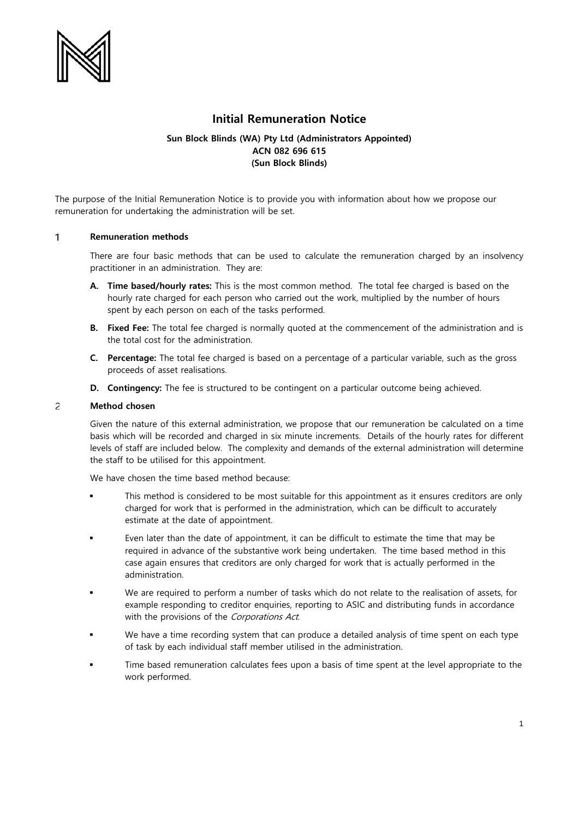

# **Initial Remuneration Notice**

## **Sun Block Blinds (WA) Pty Ltd (Administrators Appointed) ACN 082 696 615 (Sun Block Blinds)**

The purpose of the Initial Remuneration Notice is to provide you with information about how we propose our remuneration for undertaking the administration will be set.

### $\mathbf{1}$ **Remuneration methods**

There are four basic methods that can be used to calculate the remuneration charged by an insolvency practitioner in an administration. They are:

- **A. Time based/hourly rates:** This is the most common method. The total fee charged is based on the hourly rate charged for each person who carried out the work, multiplied by the number of hours spent by each person on each of the tasks performed.
- **B. Fixed Fee:** The total fee charged is normally quoted at the commencement of the administration and is the total cost for the administration.
- **C. Percentage:** The total fee charged is based on a percentage of a particular variable, such as the gross proceeds of asset realisations.
- **D. Contingency:** The fee is structured to be contingent on a particular outcome being achieved.

### $\overline{c}$ **Method chosen**

Given the nature of this external administration, we propose that our remuneration be calculated on a time basis which will be recorded and charged in six minute increments. Details of the hourly rates for different levels of staff are included below. The complexity and demands of the external administration will determine the staff to be utilised for this appointment.

We have chosen the time based method because:

- This method is considered to be most suitable for this appointment as it ensures creditors are only charged for work that is performed in the administration, which can be difficult to accurately estimate at the date of appointment.
- Even later than the date of appointment, it can be difficult to estimate the time that may be required in advance of the substantive work being undertaken. The time based method in this case again ensures that creditors are only charged for work that is actually performed in the administration.
- We are required to perform a number of tasks which do not relate to the realisation of assets, for example responding to creditor enquiries, reporting to ASIC and distributing funds in accordance with the provisions of the Corporations Act.
- We have a time recording system that can produce a detailed analysis of time spent on each type of task by each individual staff member utilised in the administration.
- Time based remuneration calculates fees upon a basis of time spent at the level appropriate to the work performed.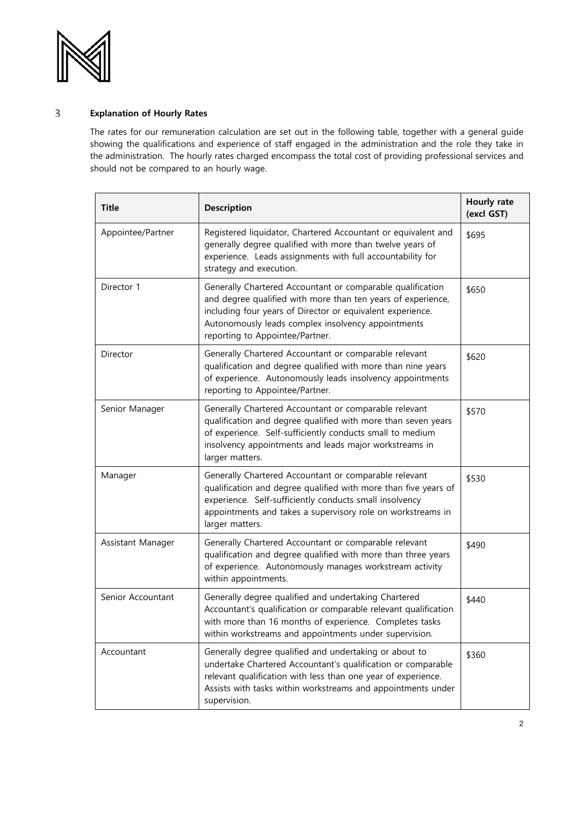

## $\overline{3}$ **Explanation of Hourly Rates**

The rates for our remuneration calculation are set out in the following table, together with a general guide showing the qualifications and experience of staff engaged in the administration and the role they take in the administration. The hourly rates charged encompass the total cost of providing professional services and should not be compared to an hourly wage.

| <b>Title</b>      | <b>Description</b>                                                                                                                                                                                                                                                                | Hourly rate<br>(excl GST) |
|-------------------|-----------------------------------------------------------------------------------------------------------------------------------------------------------------------------------------------------------------------------------------------------------------------------------|---------------------------|
| Appointee/Partner | Registered liquidator, Chartered Accountant or equivalent and<br>generally degree qualified with more than twelve years of<br>experience. Leads assignments with full accountability for<br>strategy and execution.                                                               | \$695                     |
| Director 1        | Generally Chartered Accountant or comparable qualification<br>and degree qualified with more than ten years of experience,<br>including four years of Director or equivalent experience.<br>Autonomously leads complex insolvency appointments<br>reporting to Appointee/Partner. | \$650                     |
| Director          | Generally Chartered Accountant or comparable relevant<br>qualification and degree qualified with more than nine years<br>of experience. Autonomously leads insolvency appointments<br>reporting to Appointee/Partner.                                                             | \$620                     |
| Senior Manager    | Generally Chartered Accountant or comparable relevant<br>qualification and degree qualified with more than seven years<br>of experience. Self-sufficiently conducts small to medium<br>insolvency appointments and leads major workstreams in<br>larger matters.                  | \$570                     |
| Manager           | Generally Chartered Accountant or comparable relevant<br>qualification and degree qualified with more than five years of<br>experience. Self-sufficiently conducts small insolvency<br>appointments and takes a supervisory role on workstreams in<br>larger matters.             | \$530                     |
| Assistant Manager | Generally Chartered Accountant or comparable relevant<br>qualification and degree qualified with more than three years<br>of experience. Autonomously manages workstream activity<br>within appointments.                                                                         | \$490                     |
| Senior Accountant | Generally degree qualified and undertaking Chartered<br>Accountant's qualification or comparable relevant qualification<br>with more than 16 months of experience. Completes tasks<br>within workstreams and appointments under supervision.                                      | \$440                     |
| Accountant        | Generally degree qualified and undertaking or about to<br>undertake Chartered Accountant's qualification or comparable<br>relevant qualification with less than one year of experience.<br>Assists with tasks within workstreams and appointments under<br>supervision.           | \$360                     |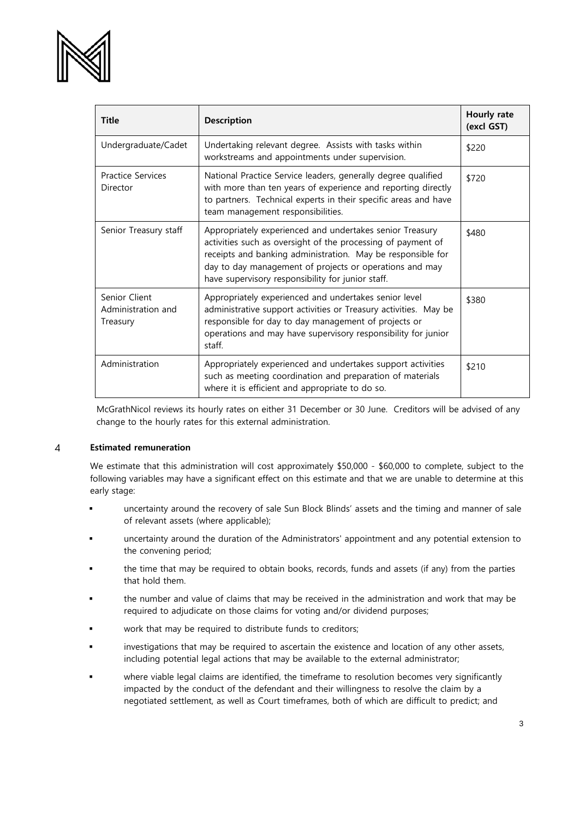

| <b>Title</b>                                    | <b>Description</b>                                                                                                                                                                                                                                                                                      | Hourly rate<br>(excl GST) |
|-------------------------------------------------|---------------------------------------------------------------------------------------------------------------------------------------------------------------------------------------------------------------------------------------------------------------------------------------------------------|---------------------------|
| Undergraduate/Cadet                             | Undertaking relevant degree. Assists with tasks within<br>workstreams and appointments under supervision.                                                                                                                                                                                               | \$220                     |
| <b>Practice Services</b><br>Director            | National Practice Service leaders, generally degree qualified<br>with more than ten years of experience and reporting directly<br>to partners. Technical experts in their specific areas and have<br>team management responsibilities.                                                                  | \$720                     |
| Senior Treasury staff                           | Appropriately experienced and undertakes senior Treasury<br>activities such as oversight of the processing of payment of<br>receipts and banking administration. May be responsible for<br>day to day management of projects or operations and may<br>have supervisory responsibility for junior staff. | \$480                     |
| Senior Client<br>Administration and<br>Treasury | Appropriately experienced and undertakes senior level<br>administrative support activities or Treasury activities. May be<br>responsible for day to day management of projects or<br>operations and may have supervisory responsibility for junior<br>staff.                                            | \$380                     |
| Administration                                  | Appropriately experienced and undertakes support activities<br>such as meeting coordination and preparation of materials<br>where it is efficient and appropriate to do so.                                                                                                                             | \$210                     |

McGrathNicol reviews its hourly rates on either 31 December or 30 June. Creditors will be advised of any change to the hourly rates for this external administration.

### **Estimated remuneration**  $\overline{4}$

We estimate that this administration will cost approximately \$50,000 - \$60,000 to complete, subject to the following variables may have a significant effect on this estimate and that we are unable to determine at this early stage:

- uncertainty around the recovery of sale Sun Block Blinds' assets and the timing and manner of sale of relevant assets (where applicable);
- uncertainty around the duration of the Administrators' appointment and any potential extension to the convening period;
- the time that may be required to obtain books, records, funds and assets (if any) from the parties that hold them.
- the number and value of claims that may be received in the administration and work that may be required to adjudicate on those claims for voting and/or dividend purposes;
- work that may be required to distribute funds to creditors;
- investigations that may be required to ascertain the existence and location of any other assets, including potential legal actions that may be available to the external administrator;
- where viable legal claims are identified, the timeframe to resolution becomes very significantly impacted by the conduct of the defendant and their willingness to resolve the claim by a negotiated settlement, as well as Court timeframes, both of which are difficult to predict; and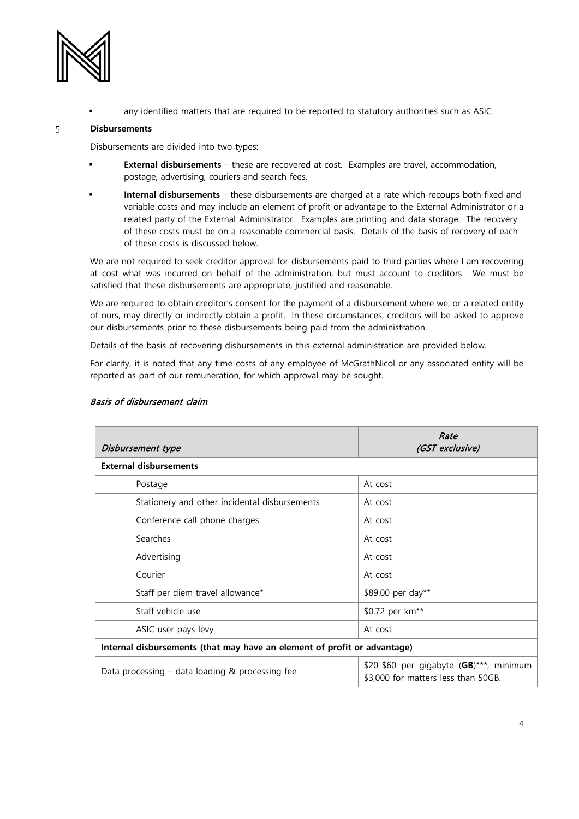

any identified matters that are required to be reported to statutory authorities such as ASIC.

### 5 **Disbursements**

Disbursements are divided into two types:

- **External disbursements** these are recovered at cost. Examples are travel, accommodation, postage, advertising, couriers and search fees.
- **Internal disbursements** these disbursements are charged at a rate which recoups both fixed and variable costs and may include an element of profit or advantage to the External Administrator or a related party of the External Administrator. Examples are printing and data storage. The recovery of these costs must be on a reasonable commercial basis. Details of the basis of recovery of each of these costs is discussed below.

We are not required to seek creditor approval for disbursements paid to third parties where I am recovering at cost what was incurred on behalf of the administration, but must account to creditors. We must be satisfied that these disbursements are appropriate, justified and reasonable.

We are required to obtain creditor's consent for the payment of a disbursement where we, or a related entity of ours, may directly or indirectly obtain a profit. In these circumstances, creditors will be asked to approve our disbursements prior to these disbursements being paid from the administration.

Details of the basis of recovering disbursements in this external administration are provided below.

For clarity, it is noted that any time costs of any employee of McGrathNicol or any associated entity will be reported as part of our remuneration, for which approval may be sought.

| Disbursement type                                                        | Rate<br>(GST exclusive)                                                        |  |  |  |
|--------------------------------------------------------------------------|--------------------------------------------------------------------------------|--|--|--|
| <b>External disbursements</b>                                            |                                                                                |  |  |  |
| Postage                                                                  | At cost                                                                        |  |  |  |
| Stationery and other incidental disbursements                            | At cost                                                                        |  |  |  |
| Conference call phone charges                                            | At cost                                                                        |  |  |  |
| Searches                                                                 | At cost                                                                        |  |  |  |
| Advertising                                                              | At cost                                                                        |  |  |  |
| Courier                                                                  | At cost                                                                        |  |  |  |
| Staff per diem travel allowance*                                         | \$89.00 per day**                                                              |  |  |  |
| Staff vehicle use                                                        | \$0.72 per km <sup>**</sup>                                                    |  |  |  |
| ASIC user pays levy                                                      | At cost                                                                        |  |  |  |
| Internal disbursements (that may have an element of profit or advantage) |                                                                                |  |  |  |
| Data processing $-$ data loading & processing fee                        | \$20-\$60 per gigabyte (GB)***, minimum<br>\$3,000 for matters less than 50GB. |  |  |  |

## Basis of disbursement claim